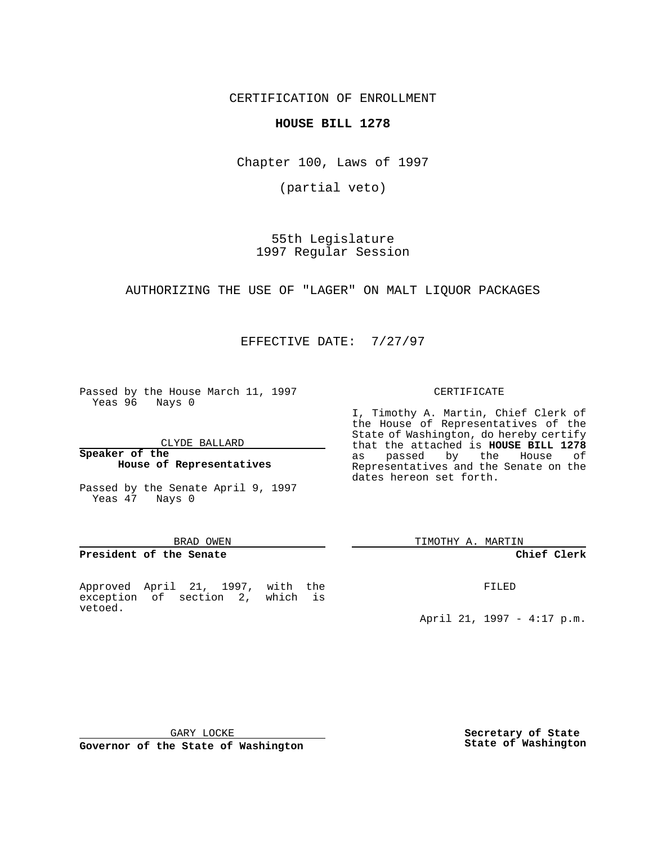CERTIFICATION OF ENROLLMENT

**HOUSE BILL 1278**

Chapter 100, Laws of 1997

(partial veto)

55th Legislature 1997 Regular Session

AUTHORIZING THE USE OF "LAGER" ON MALT LIQUOR PACKAGES

EFFECTIVE DATE: 7/27/97

Passed by the House March 11, 1997 Yeas 96 Nays 0

CLYDE BALLARD

**Speaker of the House of Representatives**

Passed by the Senate April 9, 1997 Yeas 47 Nays 0

#### BRAD OWEN

#### **President of the Senate**

Approved April 21, 1997, with the exception of section 2, which is vetoed.

#### CERTIFICATE

I, Timothy A. Martin, Chief Clerk of the House of Representatives of the State of Washington, do hereby certify that the attached is **HOUSE BILL 1278** as passed by the House of Representatives and the Senate on the dates hereon set forth.

TIMOTHY A. MARTIN

#### **Chief Clerk**

FILED

April 21, 1997 - 4:17 p.m.

GARY LOCKE

**Governor of the State of Washington**

**Secretary of State State of Washington**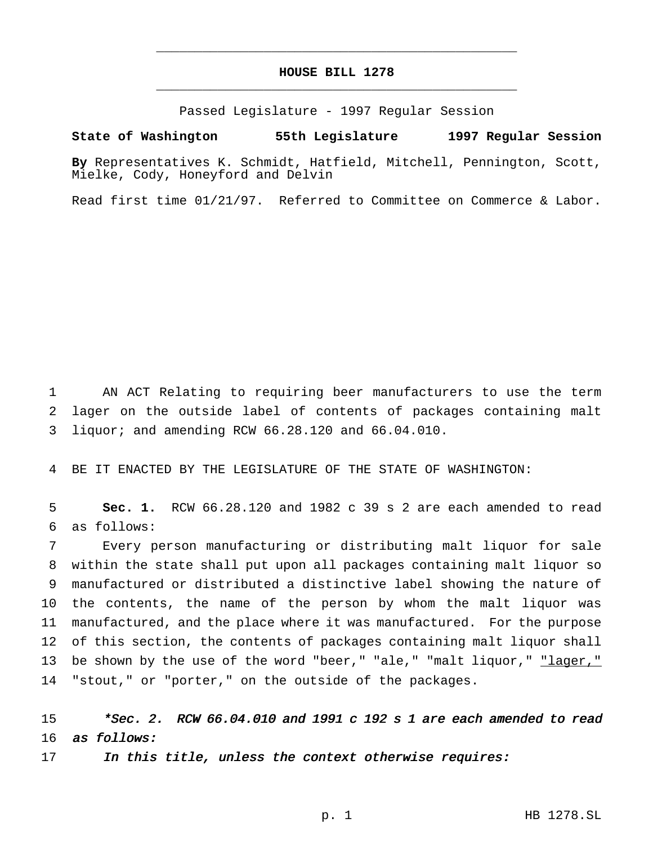## **HOUSE BILL 1278** \_\_\_\_\_\_\_\_\_\_\_\_\_\_\_\_\_\_\_\_\_\_\_\_\_\_\_\_\_\_\_\_\_\_\_\_\_\_\_\_\_\_\_\_\_\_\_

\_\_\_\_\_\_\_\_\_\_\_\_\_\_\_\_\_\_\_\_\_\_\_\_\_\_\_\_\_\_\_\_\_\_\_\_\_\_\_\_\_\_\_\_\_\_\_

Passed Legislature - 1997 Regular Session

### **State of Washington 55th Legislature 1997 Regular Session**

**By** Representatives K. Schmidt, Hatfield, Mitchell, Pennington, Scott, Mielke, Cody, Honeyford and Delvin

Read first time 01/21/97. Referred to Committee on Commerce & Labor.

1 AN ACT Relating to requiring beer manufacturers to use the term 2 lager on the outside label of contents of packages containing malt 3 liquor; and amending RCW 66.28.120 and 66.04.010.

4 BE IT ENACTED BY THE LEGISLATURE OF THE STATE OF WASHINGTON:

5 **Sec. 1.** RCW 66.28.120 and 1982 c 39 s 2 are each amended to read 6 as follows:

 Every person manufacturing or distributing malt liquor for sale within the state shall put upon all packages containing malt liquor so manufactured or distributed a distinctive label showing the nature of the contents, the name of the person by whom the malt liquor was manufactured, and the place where it was manufactured. For the purpose of this section, the contents of packages containing malt liquor shall 13 be shown by the use of the word "beer," "ale," "malt liquor," "lager," "stout," or "porter," on the outside of the packages.

# 15  $*Sec. 2. RCW 66.04.010$  and 1991 c 192 s 1 are each amended to read 16 as follows:

17 In this title, unless the context otherwise requires: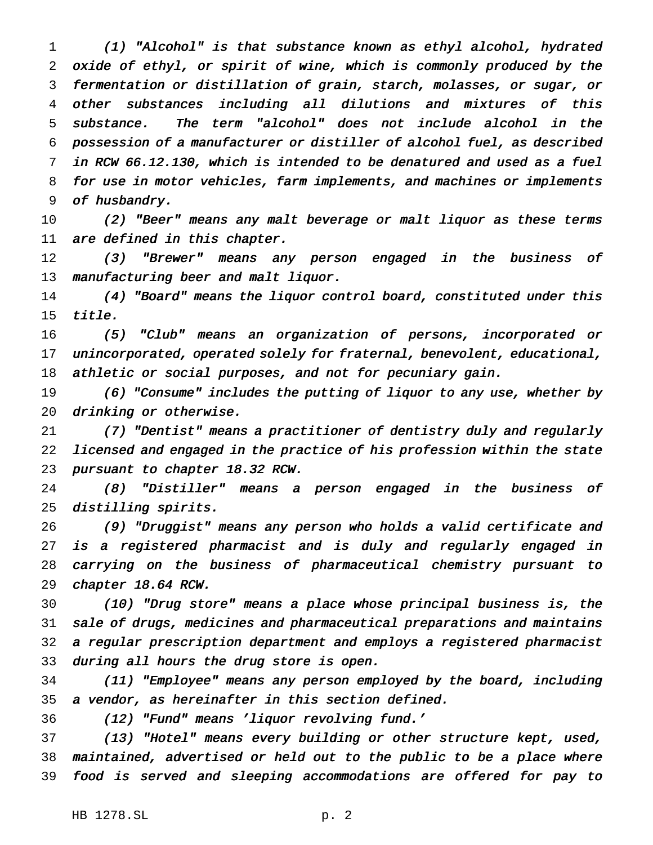(1) "Alcohol" is that substance known as ethyl alcohol, hydrated oxide of ethyl, or spirit of wine, which is commonly produced by the fermentation or distillation of grain, starch, molasses, or sugar, or other substances including all dilutions and mixtures of this substance. The term "alcohol" does not include alcohol in the possession of <sup>a</sup> manufacturer or distiller of alcohol fuel, as described in RCW 66.12.130, which is intended to be denatured and used as <sup>a</sup> fuel for use in motor vehicles, farm implements, and machines or implements of husbandry.

 (2) "Beer" means any malt beverage or malt liquor as these terms are defined in this chapter.

 (3) "Brewer" means any person engaged in the business of 13 manufacturing beer and malt liquor.

 (4) "Board" means the liquor control board, constituted under this title.

 (5) "Club" means an organization of persons, incorporated or unincorporated, operated solely for fraternal, benevolent, educational, athletic or social purposes, and not for pecuniary gain.

 (6) "Consume" includes the putting of liquor to any use, whether by drinking or otherwise.

 (7) "Dentist" means <sup>a</sup> practitioner of dentistry duly and regularly licensed and engaged in the practice of his profession within the state pursuant to chapter 18.32 RCW.

 (8) "Distiller" means <sup>a</sup> person engaged in the business of distilling spirits.

 (9) "Druggist" means any person who holds <sup>a</sup> valid certificate and is <sup>a</sup> registered pharmacist and is duly and regularly engaged in carrying on the business of pharmaceutical chemistry pursuant to chapter 18.64 RCW.

 (10) "Drug store" means <sup>a</sup> place whose principal business is, the sale of drugs, medicines and pharmaceutical preparations and maintains <sup>a</sup> regular prescription department and employs <sup>a</sup> registered pharmacist during all hours the drug store is open.

 (11) "Employee" means any person employed by the board, including <sup>a</sup> vendor, as hereinafter in this section defined.

(12) "Fund" means 'liquor revolving fund.'

 (13) "Hotel" means every building or other structure kept, used, maintained, advertised or held out to the public to be <sup>a</sup> place where food is served and sleeping accommodations are offered for pay to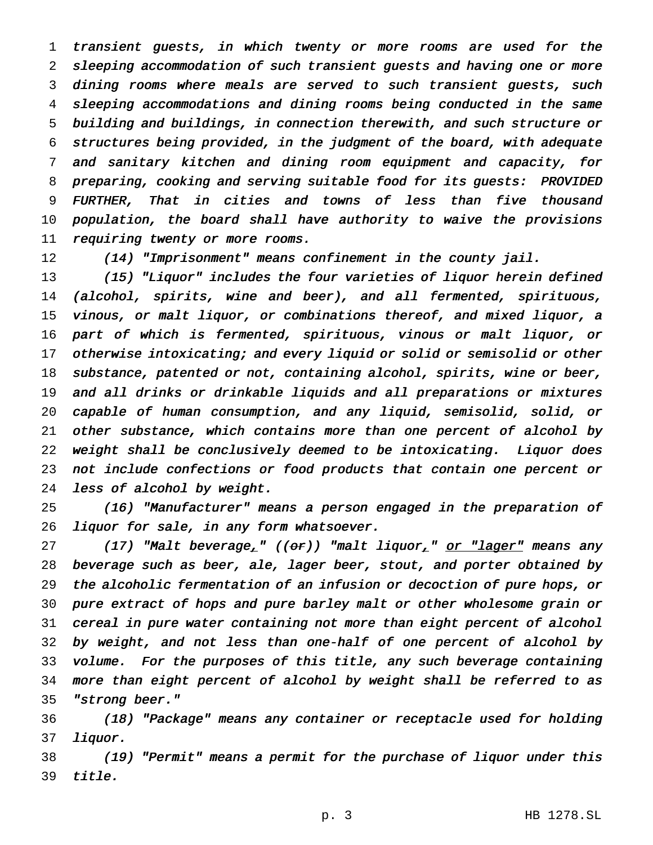transient guests, in which twenty or more rooms are used for the sleeping accommodation of such transient guests and having one or more dining rooms where meals are served to such transient guests, such sleeping accommodations and dining rooms being conducted in the same building and buildings, in connection therewith, and such structure or structures being provided, in the judgment of the board, with adequate and sanitary kitchen and dining room equipment and capacity, for preparing, cooking and serving suitable food for its guests: PROVIDED FURTHER, That in cities and towns of less than five thousand population, the board shall have authority to waive the provisions 11 requiring twenty or more rooms.

(14) "Imprisonment" means confinement in the county jail.

 (15) "Liquor" includes the four varieties of liquor herein defined (alcohol, spirits, wine and beer), and all fermented, spirituous, vinous, or malt liquor, or combinations thereof, and mixed liquor, <sup>a</sup> part of which is fermented, spirituous, vinous or malt liquor, or 17 otherwise intoxicating; and every liquid or solid or semisolid or other substance, patented or not, containing alcohol, spirits, wine or beer, and all drinks or drinkable liquids and all preparations or mixtures capable of human consumption, and any liquid, semisolid, solid, or other substance, which contains more than one percent of alcohol by weight shall be conclusively deemed to be intoxicating. Liquor does not include confections or food products that contain one percent or less of alcohol by weight.

 (16) "Manufacturer" means <sup>a</sup> person engaged in the preparation of liquor for sale, in any form whatsoever.

27 (17) "Malt beverage<sub>r</sub>" ((or)) "malt liquor<sub>r</sub>" or "lager" means any beverage such as beer, ale, lager beer, stout, and porter obtained by the alcoholic fermentation of an infusion or decoction of pure hops, or pure extract of hops and pure barley malt or other wholesome grain or cereal in pure water containing not more than eight percent of alcohol by weight, and not less than one-half of one percent of alcohol by volume. For the purposes of this title, any such beverage containing more than eight percent of alcohol by weight shall be referred to as "strong beer."

 (18) "Package" means any container or receptacle used for holding liquor.

 (19) "Permit" means <sup>a</sup> permit for the purchase of liquor under this title.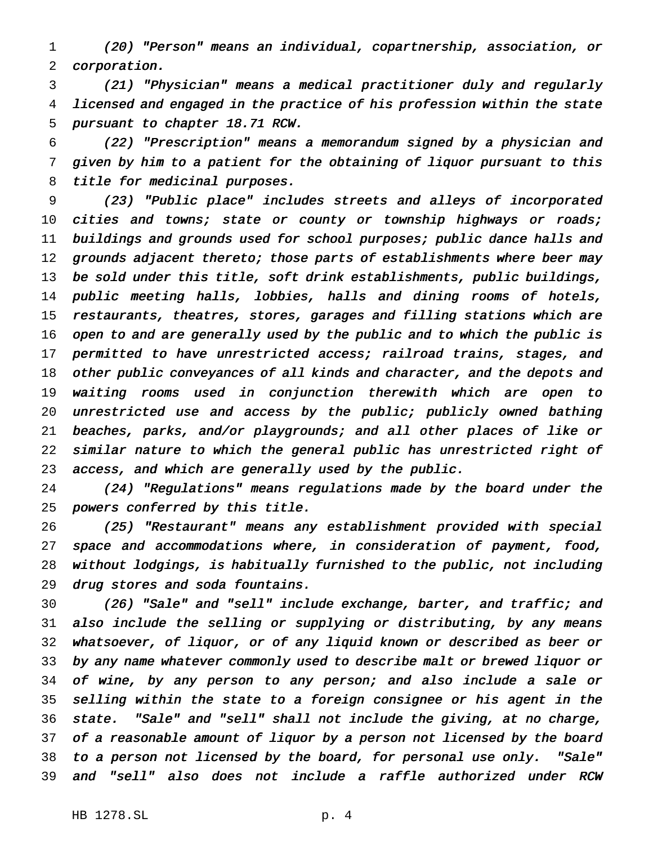(20) "Person" means an individual, copartnership, association, or corporation.

 (21) "Physician" means <sup>a</sup> medical practitioner duly and regularly licensed and engaged in the practice of his profession within the state pursuant to chapter 18.71 RCW.

 (22) "Prescription" means <sup>a</sup> memorandum signed by <sup>a</sup> physician and given by him to <sup>a</sup> patient for the obtaining of liquor pursuant to this title for medicinal purposes.

 (23) "Public place" includes streets and alleys of incorporated cities and towns; state or county or township highways or roads; 11 buildings and grounds used for school purposes; public dance halls and 12 grounds adjacent thereto; those parts of establishments where beer may be sold under this title, soft drink establishments, public buildings, public meeting halls, lobbies, halls and dining rooms of hotels, restaurants, theatres, stores, garages and filling stations which are open to and are generally used by the public and to which the public is permitted to have unrestricted access; railroad trains, stages, and other public conveyances of all kinds and character, and the depots and waiting rooms used in conjunction therewith which are open to 20 unrestricted use and access by the public; publicly owned bathing beaches, parks, and/or playgrounds; and all other places of like or similar nature to which the general public has unrestricted right of access, and which are generally used by the public.

 (24) "Regulations" means regulations made by the board under the powers conferred by this title.

 (25) "Restaurant" means any establishment provided with special space and accommodations where, in consideration of payment, food, without lodgings, is habitually furnished to the public, not including drug stores and soda fountains.

 (26) "Sale" and "sell" include exchange, barter, and traffic; and also include the selling or supplying or distributing, by any means whatsoever, of liquor, or of any liquid known or described as beer or by any name whatever commonly used to describe malt or brewed liquor or of wine, by any person to any person; and also include <sup>a</sup> sale or selling within the state to <sup>a</sup> foreign consignee or his agent in the state. "Sale" and "sell" shall not include the giving, at no charge, of <sup>a</sup> reasonable amount of liquor by <sup>a</sup> person not licensed by the board to <sup>a</sup> person not licensed by the board, for personal use only. "Sale" and "sell" also does not include <sup>a</sup> raffle authorized under RCW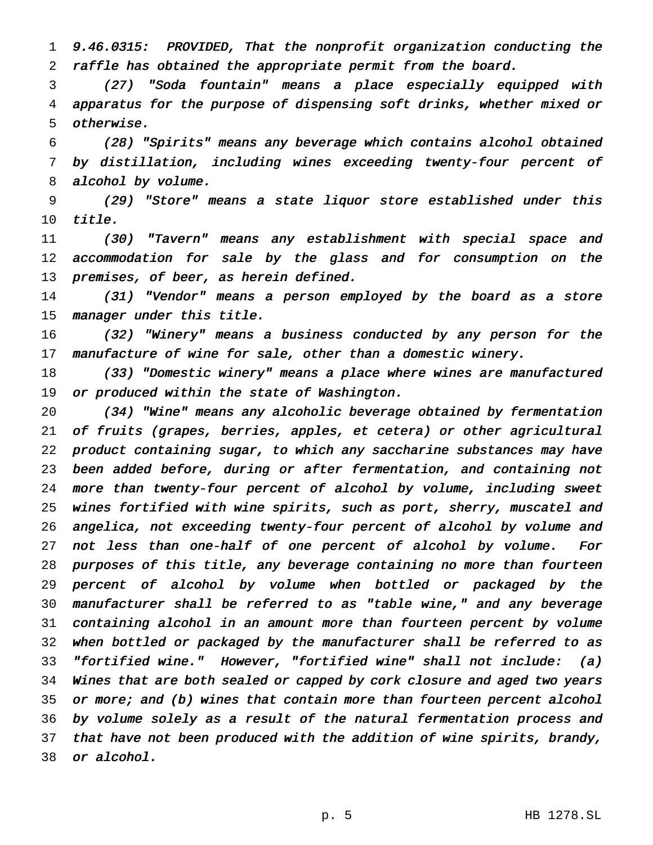9.46.0315: PROVIDED, That the nonprofit organization conducting the raffle has obtained the appropriate permit from the board.

 (27) "Soda fountain" means <sup>a</sup> place especially equipped with apparatus for the purpose of dispensing soft drinks, whether mixed or otherwise.

 (28) "Spirits" means any beverage which contains alcohol obtained by distillation, including wines exceeding twenty-four percent of alcohol by volume.

 (29) "Store" means <sup>a</sup> state liquor store established under this title.

 (30) "Tavern" means any establishment with special space and accommodation for sale by the glass and for consumption on the premises, of beer, as herein defined.

 (31) "Vendor" means <sup>a</sup> person employed by the board as <sup>a</sup> store manager under this title.

 (32) "Winery" means <sup>a</sup> business conducted by any person for the 17 manufacture of wine for sale, other than a domestic winery.

 (33) "Domestic winery" means <sup>a</sup> place where wines are manufactured or produced within the state of Washington.

 (34) "Wine" means any alcoholic beverage obtained by fermentation of fruits (grapes, berries, apples, et cetera) or other agricultural product containing sugar, to which any saccharine substances may have been added before, during or after fermentation, and containing not more than twenty-four percent of alcohol by volume, including sweet wines fortified with wine spirits, such as port, sherry, muscatel and angelica, not exceeding twenty-four percent of alcohol by volume and not less than one-half of one percent of alcohol by volume. For purposes of this title, any beverage containing no more than fourteen percent of alcohol by volume when bottled or packaged by the manufacturer shall be referred to as "table wine," and any beverage containing alcohol in an amount more than fourteen percent by volume when bottled or packaged by the manufacturer shall be referred to as "fortified wine." However, "fortified wine" shall not include: (a) Wines that are both sealed or capped by cork closure and aged two years 35 or more; and (b) wines that contain more than fourteen percent alcohol by volume solely as <sup>a</sup> result of the natural fermentation process and that have not been produced with the addition of wine spirits, brandy, or alcohol.